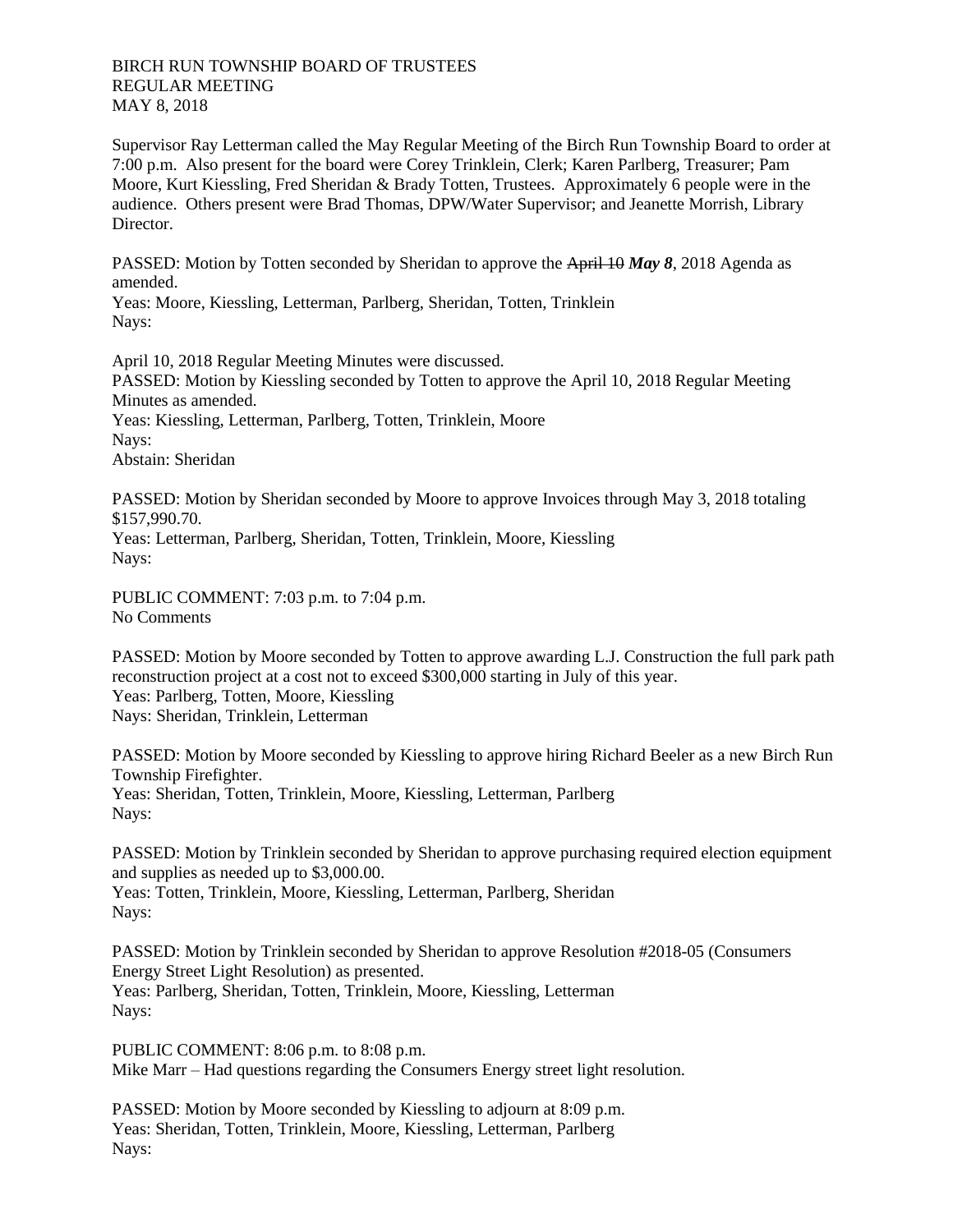BIRCH RUN TOWNSHIP BOARD OF TRUSTEES REGULAR MEETING MAY 8, 2018

Supervisor Ray Letterman called the May Regular Meeting of the Birch Run Township Board to order at 7:00 p.m. Also present for the board were Corey Trinklein, Clerk; Karen Parlberg, Treasurer; Pam Moore, Kurt Kiessling, Fred Sheridan & Brady Totten, Trustees. Approximately 6 people were in the audience. Others present were Brad Thomas, DPW/Water Supervisor; and Jeanette Morrish, Library Director.

PASSED: Motion by Totten seconded by Sheridan to approve the April 10 *May 8*, 2018 Agenda as amended.

Yeas: Moore, Kiessling, Letterman, Parlberg, Sheridan, Totten, Trinklein Nays:

April 10, 2018 Regular Meeting Minutes were discussed. PASSED: Motion by Kiessling seconded by Totten to approve the April 10, 2018 Regular Meeting Minutes as amended. Yeas: Kiessling, Letterman, Parlberg, Totten, Trinklein, Moore Nays: Abstain: Sheridan

PASSED: Motion by Sheridan seconded by Moore to approve Invoices through May 3, 2018 totaling \$157,990.70. Yeas: Letterman, Parlberg, Sheridan, Totten, Trinklein, Moore, Kiessling Nays:

PUBLIC COMMENT: 7:03 p.m. to 7:04 p.m. No Comments

PASSED: Motion by Moore seconded by Totten to approve awarding L.J. Construction the full park path reconstruction project at a cost not to exceed \$300,000 starting in July of this year. Yeas: Parlberg, Totten, Moore, Kiessling Nays: Sheridan, Trinklein, Letterman

PASSED: Motion by Moore seconded by Kiessling to approve hiring Richard Beeler as a new Birch Run Township Firefighter. Yeas: Sheridan, Totten, Trinklein, Moore, Kiessling, Letterman, Parlberg Nays:

PASSED: Motion by Trinklein seconded by Sheridan to approve purchasing required election equipment and supplies as needed up to \$3,000.00. Yeas: Totten, Trinklein, Moore, Kiessling, Letterman, Parlberg, Sheridan Nays:

PASSED: Motion by Trinklein seconded by Sheridan to approve Resolution #2018-05 (Consumers Energy Street Light Resolution) as presented. Yeas: Parlberg, Sheridan, Totten, Trinklein, Moore, Kiessling, Letterman Nays:

PUBLIC COMMENT: 8:06 p.m. to 8:08 p.m. Mike Marr – Had questions regarding the Consumers Energy street light resolution.

PASSED: Motion by Moore seconded by Kiessling to adjourn at 8:09 p.m. Yeas: Sheridan, Totten, Trinklein, Moore, Kiessling, Letterman, Parlberg Nays: